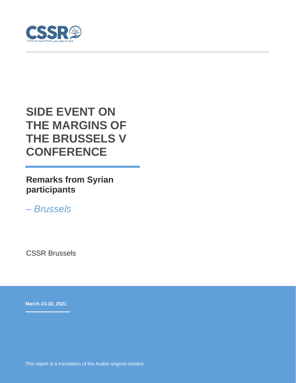

# **SIDE EVENT ON THE MARGINS OF THE BRUSSELS V CONFERENCE**

**Remarks from Syrian participants**

*– Brussels* 

CSSR Brussels

**March 23-30, 2021**

This report is a translation of the Arabic original content.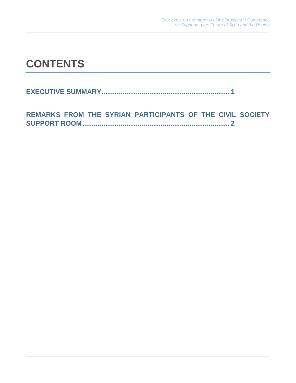# **CONTENTS**

**EXECUTIVE SUMMARY................................................................... 1**

**REMARKS FROM THE SYRIAN PARTICIPANTS OF THE CIVIL SOCIETY SUPPORT ROOM............................................................................. 2**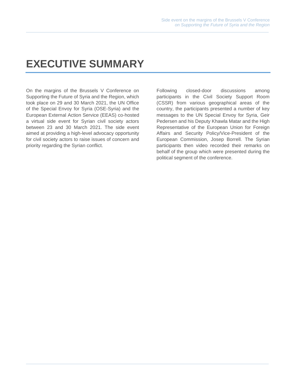## **EXECUTIVE SUMMARY**

On the margins of the Brussels V Conference on Supporting the Future of Syria and the Region, which took place on 29 and 30 March 2021, the UN Office of the Special Envoy for Syria (OSE-Syria) and the European External Action Service (EEAS) co-hosted a virtual side event for Syrian civil society actors between 23 and 30 March 2021. The side event aimed at providing a high-level advocacy opportunity for civil society actors to raise issues of concern and priority regarding the Syrian conflict.

Following closed-door discussions among participants in the Civil Society Support Room (CSSR) from various geographical areas of the country, the participants presented a number of key messages to the UN Special Envoy for Syria, Geir Pedersen and his Deputy Khawla Matar and the High Representative of the European Union for Foreign Affairs and Security Policy/Vice-President of the European Commission, Josep Borrell. The Syrian participants then video recorded their remarks on behalf of the group which were presented during the political segment of the conference.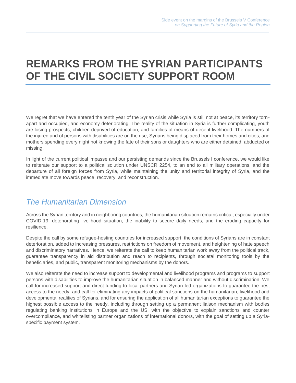## **REMARKS FROM THE SYRIAN PARTICIPANTS OF THE CIVIL SOCIETY SUPPORT ROOM**

We regret that we have entered the tenth year of the Syrian crisis while Syria is still not at peace, its territory tornapart and occupied, and economy deteriorating. The reality of the situation in Syria is further complicating, youth are losing prospects, children deprived of education, and families of means of decent livelihood. The numbers of the injured and of persons with disabilities are on the rise, Syrians being displaced from their homes and cities, and mothers spending every night not knowing the fate of their sons or daughters who are either detained, abducted or missing.

In light of the current political impasse and our persisting demands since the Brussels I conference, we would like to reiterate our support to a political solution under UNSCR 2254, to an end to all military operations, and the departure of all foreign forces from Syria, while maintaining the unity and territorial integrity of Syria, and the immediate move towards peace, recovery, and reconstruction.

#### *The Humanitarian Dimension*

Across the Syrian territory and in neighboring countries, the humanitarian situation remains critical, especially under COVID-19, deteriorating livelihood situation, the inability to secure daily needs, and the eroding capacity for resilience.

Despite the call by some refugee-hosting countries for increased support, the conditions of Syrians are in constant deterioration, added to increasing pressures, restrictions on freedom of movement, and heightening of hate speech and discriminatory narratives. Hence, we reiterate the call to keep humanitarian work away from the political track, guarantee transparency in aid distribution and reach to recipients, through societal monitoring tools by the beneficiaries, and public, transparent monitoring mechanisms by the donors.

We also reiterate the need to increase support to developmental and livelihood programs and programs to support persons with disabilities to improve the humanitarian situation in balanced manner and without discrimination. We call for increased support and direct funding to local partners and Syrian-led organizations to guarantee the best access to the needy, and call for eliminating any impacts of political sanctions on the humanitarian, livelihood and developmental realities of Syrians, and for ensuring the application of all humanitarian exceptions to guarantee the highest possible access to the needy, including through setting up a permanent liaison mechanism with bodies regulating banking institutions in Europe and the US, with the objective to explain sanctions and counter overcompliance, and whitelisting partner organizations of international donors, with the goal of setting up a Syriaspecific payment system.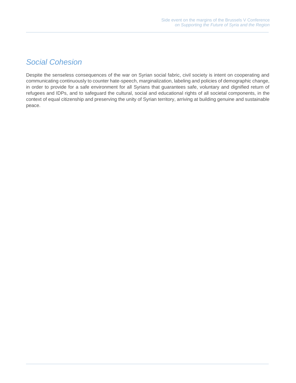### *Social Cohesion*

Despite the senseless consequences of the war on Syrian social fabric, civil society is intent on cooperating and communicating continuously to counter hate-speech, marginalization, labeling and policies of demographic change, in order to provide for a safe environment for all Syrians that guarantees safe, voluntary and dignified return of refugees and IDPs, and to safeguard the cultural, social and educational rights of all societal components, in the context of equal citizenship and preserving the unity of Syrian territory, arriving at building genuine and sustainable peace.